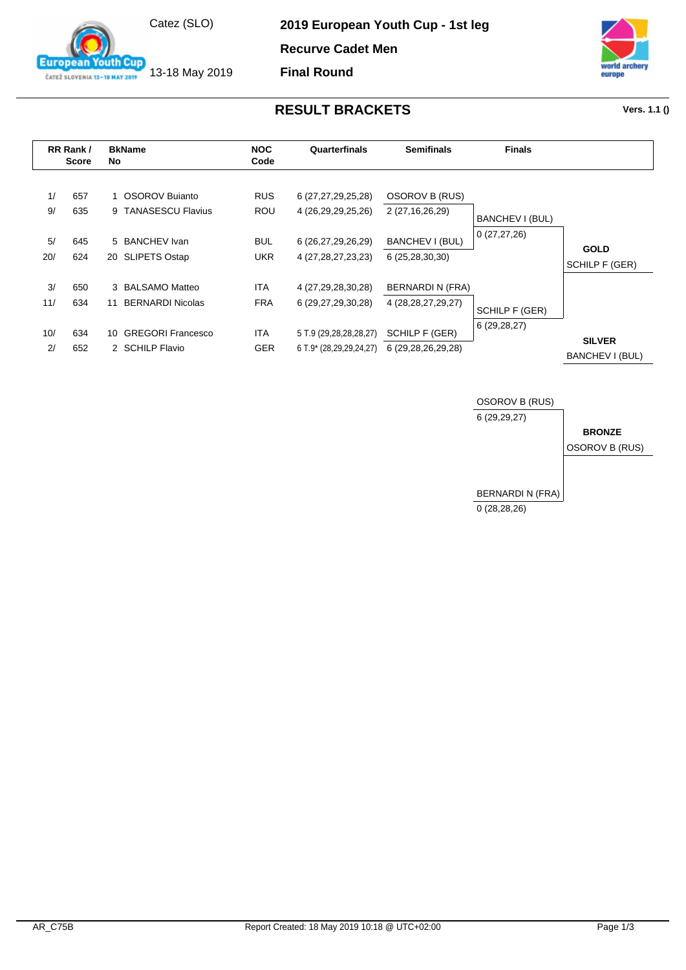

13-18 May 2019

outh Cup

**European** 

ČATEŽ SLOVENIA 13-18 MAY 2019

**2019 European Youth Cup - 1st leg**

**Recurve Cadet Men**

**Final Round**



## **RESULT BRACKETS Vers. 1.1 ()**

|           | RR Rank/<br><b>Score</b> | No | <b>BkName</b>                         | <b>NOC</b><br>Code | Quarterfinals                                    | <b>Semifinals</b>                    | <b>Finals</b>                    |                                  |
|-----------|--------------------------|----|---------------------------------------|--------------------|--------------------------------------------------|--------------------------------------|----------------------------------|----------------------------------|
| 1/<br>9/  | 657<br>635               |    | OSOROV Bujanto<br>9 TANASESCU Flavius | <b>RUS</b><br>ROU  | 6 (27, 27, 29, 25, 28)<br>4 (26, 29, 29, 25, 26) | OSOROV B (RUS)<br>2 (27, 16, 26, 29) |                                  |                                  |
|           |                          |    |                                       |                    |                                                  |                                      | BANCHEV I (BUL)<br>0(27, 27, 26) |                                  |
| 5/<br>20/ | 645<br>624               |    | 5 BANCHEV Ivan<br>20 SLIPETS Ostap    | <b>BUL</b><br>UKR. | 6 (26,27,29,26,29)<br>4 (27, 28, 27, 23, 23)     | BANCHEV I (BUL)<br>6 (25,28,30,30)   |                                  | <b>GOLD</b>                      |
|           |                          |    |                                       |                    |                                                  |                                      |                                  | SCHILP F (GER)                   |
| 3/        | 650                      |    | 3 BALSAMO Matteo                      | ITA.               | 4 (27,29,28,30,28)                               | BERNARDI N (FRA)                     |                                  |                                  |
| 11/       | 634                      | 11 | <b>BERNARDI Nicolas</b>               | <b>FRA</b>         | 6 (29,27,29,30,28)                               | 4 (28, 28, 27, 29, 27)               | SCHILP F (GER)                   |                                  |
| 10/       | 634                      |    | 10 GREGORI Francesco                  | <b>ITA</b>         | 5 T.9 (29,28,28,28,27)                           | SCHILP F (GER)                       | 6 (29,28,27)                     |                                  |
| 2/        | 652                      |    | 2 SCHILP Flavio                       | <b>GER</b>         | 6 T.9* (28,29,29,24,27)                          | 6 (29,28,26,29,28)                   |                                  | <b>SILVER</b><br>BANCHEV I (BUL) |

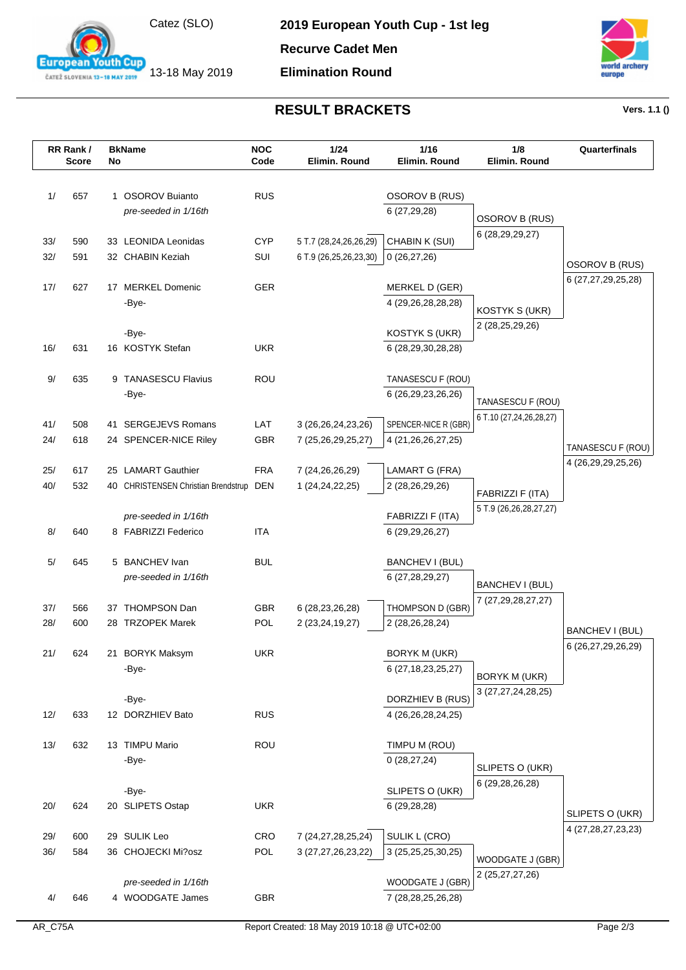

13-18 May 2019

**European Youth Cup** ČATEŽ SLOVENIA 13-18 MAY 2019

**2019 European Youth Cup - 1st leg**

**Recurve Cadet Men**

**Elimination Round**



## **RESULT BRACKETS Vers. 1.1 ()**

|     | RR Rank/<br><b>Score</b> | No | <b>BkName</b>                           | <b>NOC</b><br>Code | 1/24<br>Elimin. Round  | 1/16<br>Elimin. Round                          | 1/8<br>Elimin. Round                         | Quarterfinals          |
|-----|--------------------------|----|-----------------------------------------|--------------------|------------------------|------------------------------------------------|----------------------------------------------|------------------------|
| 1/  | 657                      |    | 1 OSOROV Buianto                        | <b>RUS</b>         |                        | OSOROV B (RUS)                                 |                                              |                        |
|     |                          |    | pre-seeded in 1/16th                    |                    |                        | 6(27,29,28)                                    |                                              |                        |
|     |                          |    |                                         |                    |                        |                                                | OSOROV B (RUS)                               |                        |
| 33/ | 590                      |    | 33 LEONIDA Leonidas                     | <b>CYP</b>         | 5 T.7 (28,24,26,26,29) | CHABIN K (SUI)                                 | 6 (28, 29, 29, 27)                           |                        |
| 32/ | 591                      |    | 32 CHABIN Keziah                        | SUI                | 6 T.9 (26,25,26,23,30) | 0(26, 27, 26)                                  |                                              | <b>OSOROV B (RUS)</b>  |
| 17/ | 627                      |    | 17 MERKEL Domenic                       | <b>GER</b>         |                        | MERKEL D (GER)                                 |                                              | 6 (27,27,29,25,28)     |
|     |                          |    | -Bye-                                   |                    |                        | 4 (29,26,28,28,28)                             |                                              |                        |
|     |                          |    |                                         |                    |                        |                                                | KOSTYK S (UKR)                               |                        |
|     |                          |    | -Bye-                                   |                    |                        | KOSTYK S (UKR)                                 | 2 (28,25,29,26)                              |                        |
| 16/ | 631                      |    | 16 KOSTYK Stefan                        | <b>UKR</b>         |                        | 6 (28,29,30,28,28)                             |                                              |                        |
| 9/  | 635                      |    | 9 TANASESCU Flavius                     | ROU                |                        | TANASESCU F (ROU)                              |                                              |                        |
|     |                          |    | -Bye-                                   |                    |                        | 6 (26,29,23,26,26)                             |                                              |                        |
|     |                          |    |                                         |                    |                        |                                                | TANASESCU F (ROU)<br>6 T.10 (27,24,26,28,27) |                        |
| 41/ | 508                      |    | 41 SERGEJEVS Romans                     | LAT                | 3 (26, 26, 24, 23, 26) | SPENCER-NICE R (GBR)                           |                                              |                        |
| 24/ | 618                      |    | 24 SPENCER-NICE Riley                   | <b>GBR</b>         | 7 (25,26,29,25,27)     | 4 (21,26,26,27,25)                             |                                              | TANASESCU F (ROU)      |
| 25/ | 617                      |    | 25 LAMART Gauthier                      | <b>FRA</b>         | 7 (24,26,26,29)        | <b>LAMART G (FRA)</b>                          |                                              | 4 (26,29,29,25,26)     |
| 40/ | 532                      |    | 40 CHRISTENSEN Christian Brendstrup DEN |                    | 1 (24, 24, 22, 25)     | 2 (28,26,29,26)                                |                                              |                        |
|     |                          |    |                                         |                    |                        |                                                | FABRIZZI F (ITA)                             |                        |
|     |                          |    | pre-seeded in 1/16th                    |                    |                        | FABRIZZI F (ITA)                               | 5 T.9 (26,26,28,27,27)                       |                        |
| 8/  | 640                      |    | 8 FABRIZZI Federico                     | <b>ITA</b>         |                        | 6 (29, 29, 26, 27)                             |                                              |                        |
| 5/  | 645                      |    | 5 BANCHEV Ivan                          | <b>BUL</b>         |                        | BANCHEV I (BUL)                                |                                              |                        |
|     |                          |    | pre-seeded in 1/16th                    |                    |                        | 6 (27,28,29,27)                                |                                              |                        |
|     |                          |    |                                         |                    |                        |                                                | BANCHEV I (BUL)<br>7 (27,29,28,27,27)        |                        |
| 37/ | 566                      |    | 37 THOMPSON Dan                         | <b>GBR</b>         | 6 (28, 23, 26, 28)     | THOMPSON D (GBR)                               |                                              |                        |
| 28/ | 600                      |    | 28 TRZOPEK Marek                        | <b>POL</b>         | 2 (23, 24, 19, 27)     | 2 (28,26,28,24)                                |                                              | <b>BANCHEV I (BUL)</b> |
| 21/ | 624                      |    |                                         | <b>UKR</b>         |                        |                                                |                                              | 6 (26,27,29,26,29)     |
|     |                          |    | 21 BORYK Maksym<br>-Bye-                |                    |                        | <b>BORYK M (UKR)</b><br>6 (27, 18, 23, 25, 27) |                                              |                        |
|     |                          |    |                                         |                    |                        |                                                | <b>BORYK M (UKR)</b>                         |                        |
|     |                          |    | -Bye-                                   |                    |                        | DORZHIEV B (RUS)                               | 3 (27,27,24,28,25)                           |                        |
| 12/ | 633                      |    | 12 DORZHIEV Bato                        | <b>RUS</b>         |                        | 4 (26,26,28,24,25)                             |                                              |                        |
| 13/ | 632                      |    | 13 TIMPU Mario                          | <b>ROU</b>         |                        | TIMPU M (ROU)                                  |                                              |                        |
|     |                          |    | -Bye-                                   |                    |                        | 0(28, 27, 24)                                  |                                              |                        |
|     |                          |    |                                         |                    |                        |                                                | SLIPETS O (UKR)                              |                        |
|     |                          |    | -Bye-                                   |                    |                        | SLIPETS O (UKR)                                | 6 (29, 28, 26, 28)                           |                        |
| 20/ | 624                      |    | 20 SLIPETS Ostap                        | <b>UKR</b>         |                        | 6 (29,28,28)                                   |                                              | SLIPETS O (UKR)        |
| 29/ | 600                      |    | 29 SULIK Leo                            | CRO                | 7 (24, 27, 28, 25, 24) | SULIK L (CRO)                                  |                                              | 4 (27, 28, 27, 23, 23) |
| 36/ | 584                      |    | 36 CHOJECKI Mi?osz                      | POL                | 3 (27,27,26,23,22)     | 3 (25,25,25,30,25)                             |                                              |                        |
|     |                          |    |                                         |                    |                        |                                                | WOODGATE J (GBR)                             |                        |
|     |                          |    | pre-seeded in 1/16th                    |                    |                        | WOODGATE J (GBR)                               | 2 (25,27,27,26)                              |                        |
| 4/  | 646                      |    | 4 WOODGATE James                        | GBR                |                        | 7 (28,28,25,26,28)                             |                                              |                        |